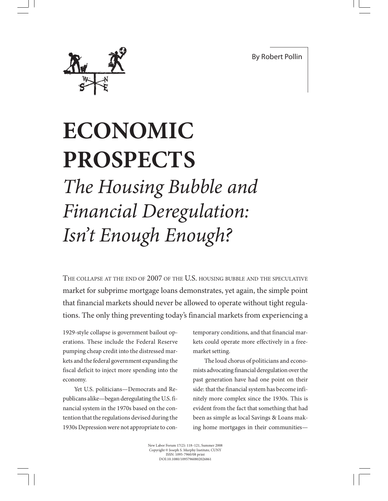By Robert Pollin



## **ECONOMIC PROSPECTS** *The Housing Bubble and Financial Deregulation: Isn't Enough Enough?*

THE COLLAPSE AT THE END OF 2007 OF THE U.S. HOUSING BUBBLE AND THE SPECULATIVE market for subprime mortgage loans demonstrates, yet again, the simple point that financial markets should never be allowed to operate without tight regulations. The only thing preventing today's financial markets from experiencing a

1929-style collapse is government bailout operations. These include the Federal Reserve pumping cheap credit into the distressed markets and the federal government expanding the fiscal deficit to inject more spending into the economy.

Yet U.S. politicians—Democrats and Republicans alike—began deregulating the U.S. financial system in the 1970s based on the contention that the regulations devised during the 1930s Depression were not appropriate to contemporary conditions, and that financial markets could operate more effectively in a freemarket setting.

The loud chorus of politicians and economists advocating financial deregulation over the past generation have had one point on their side: that the financial system has become infinitely more complex since the 1930s. This is evident from the fact that something that had been as simple as local Savings & Loans making home mortgages in their communities—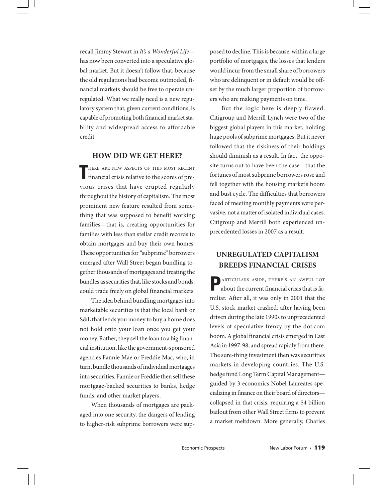recall Jimmy Stewart in *It's a Wonderful Life* has now been converted into a speculative global market. But it doesn't follow that, because the old regulations had become outmoded, financial markets should be free to operate unregulated. What we really need is a new regulatory system that, given current conditions, is capable of promoting both financial market stability and widespread access to affordable credit.

## **HOW DID WE GET HERE?**

HERE ARE NEW ASPECTS OF THIS MOST RECENT financial crisis relative to the scores of pre-HERE ARE NEW ASPECTS OF THIS MOST RECENT vious crises that have erupted regularly throughout the history of capitalism. The most prominent new feature resulted from something that was supposed to benefit working families—that is, creating opportunities for families with less than stellar credit records to obtain mortgages and buy their own homes. These opportunities for "subprime" borrowers emerged after Wall Street began bundling together thousands of mortgages and treating the bundles as securities that, like stocks and bonds, could trade freely on global financial markets.

The idea behind bundling mortgages into marketable securities is that the local bank or S&L that lends you money to buy a home does not hold onto your loan once you get your money. Rather, they sell the loan to a big financial institution, like the government-sponsored agencies Fannie Mae or Freddie Mac, who, in turn, bundle thousands of individual mortgages into securities. Fannie or Freddie then sell these mortgage-backed securities to banks, hedge funds, and other market players.

When thousands of mortgages are packaged into one security, the dangers of lending to higher-risk subprime borrowers were supposed to decline. This is because, within a large portfolio of mortgages, the losses that lenders would incur from the small share of borrowers who are delinquent or in default would be offset by the much larger proportion of borrowers who are making payments on time.

But the logic here is deeply flawed. Citigroup and Merrill Lynch were two of the biggest global players in this market, holding huge pools of subprime mortgages. But it never followed that the riskiness of their holdings should diminish as a result. In fact, the opposite turns out to have been the case—that the fortunes of most subprime borrowers rose and fell together with the housing market's boom and bust cycle. The difficulties that borrowers faced of meeting monthly payments were pervasive, not a matter of isolated individual cases. Citigroup and Merrill both experienced unprecedented losses in 2007 as a result.

## **UNREGULATED CAPITALISM BREEDS FINANCIAL CRISES**

PARTICULARS ASIDE, THERE'S AN AWFUL LOT about the current financial crisis that is familiar. After all, it was only in 2001 that the U.S. stock market crashed, after having been driven during the late 1990s to unprecedented levels of speculative frenzy by the dot.com boom. A global financial crisis emerged in East Asia in 1997-98, and spread rapidly from there. The sure-thing investment then was securities markets in developing countries. The U.S. hedge fund Long Term Capital Management guided by 3 economics Nobel Laureates specializing in finance on their board of directors collapsed in that crisis, requiring a \$4 billion bailout from other Wall Street firms to prevent a market meltdown. More generally, Charles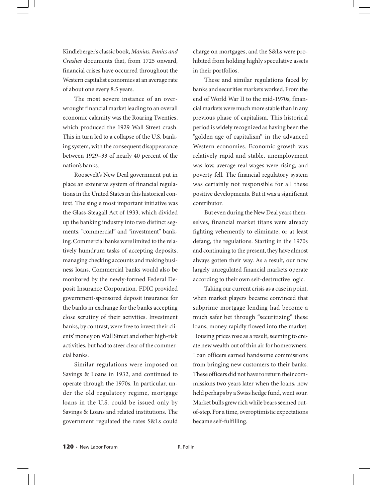Kindleberger's classic book, *Manias, Panics and Crashes* documents that, from 1725 onward, financial crises have occurred throughout the Western capitalist economies at an average rate of about one every 8.5 years.

The most severe instance of an overwrought financial market leading to an overall economic calamity was the Roaring Twenties, which produced the 1929 Wall Street crash. This in turn led to a collapse of the U.S. banking system, with the consequent disappearance between 1929–33 of nearly 40 percent of the nation's banks.

Roosevelt's New Deal government put in place an extensive system of financial regulations in the United States in this historical context. The single most important initiative was the Glass-Steagall Act of 1933, which divided up the banking industry into two distinct segments, "commercial" and "investment" banking. Commercial banks were limited to the relatively humdrum tasks of accepting deposits, managing checking accounts and making business loans. Commercial banks would also be monitored by the newly-formed Federal Deposit Insurance Corporation. FDIC provided government-sponsored deposit insurance for the banks in exchange for the banks accepting close scrutiny of their activities. Investment banks, by contrast, were free to invest their clients' money on Wall Street and other high-risk activities, but had to steer clear of the commercial banks.

Similar regulations were imposed on Savings & Loans in 1932, and continued to operate through the 1970s. In particular, under the old regulatory regime, mortgage loans in the U.S. could be issued only by Savings & Loans and related institutions. The government regulated the rates S&Ls could charge on mortgages, and the S&Ls were prohibited from holding highly speculative assets in their portfolios.

These and similar regulations faced by banks and securities markets worked. From the end of World War II to the mid-1970s, financial markets were much more stable than in any previous phase of capitalism. This historical period is widely recognized as having been the "golden age of capitalism" in the advanced Western economies. Economic growth was relatively rapid and stable, unemployment was low, average real wages were rising, and poverty fell. The financial regulatory system was certainly not responsible for all these positive developments. But it was a significant contributor.

But even during the New Deal years themselves, financial market titans were already fighting vehemently to eliminate, or at least defang, the regulations. Starting in the 1970s and continuing to the present, they have almost always gotten their way. As a result, our now largely unregulated financial markets operate according to their own self-destructive logic.

Taking our current crisis as a case in point, when market players became convinced that subprime mortgage lending had become a much safer bet through "securitizing" these loans, money rapidly flowed into the market. Housing prices rose as a result, seeming to create new wealth out of thin air for homeowners. Loan officers earned handsome commissions from bringing new customers to their banks. These officers did not have to return their commissions two years later when the loans, now held perhaps by a Swiss hedge fund, went sour. Market bulls grew rich while bears seemed outof-step. For a time, overoptimistic expectations became self-fulfilling.